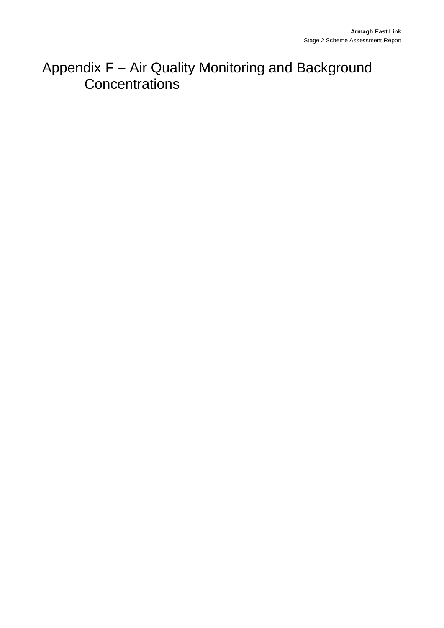## Appendix F **–** Air Quality Monitoring and Background **Concentrations**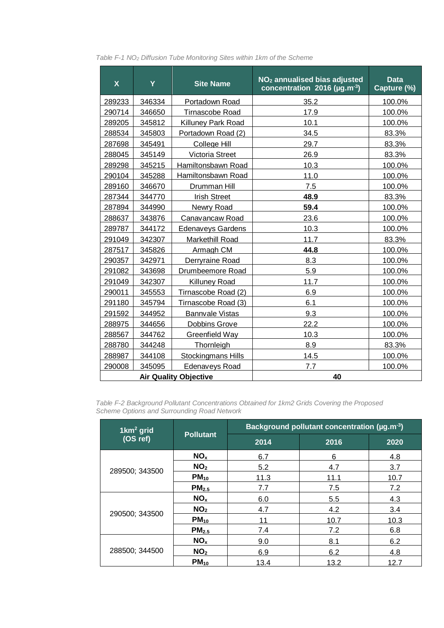| $\boldsymbol{\mathsf{X}}$    | Y      | <b>Site Name</b>           | NO <sub>2</sub> annualised bias adjusted<br>concentration 2016 (µg.m <sup>-3</sup> ) | <b>Data</b><br>Capture (%) |
|------------------------------|--------|----------------------------|--------------------------------------------------------------------------------------|----------------------------|
| 289233                       | 346334 | Portadown Road             | 35.2                                                                                 | 100.0%                     |
| 290714                       | 346650 | <b>Tirnascobe Road</b>     | 17.9                                                                                 | 100.0%                     |
| 289205                       | 345812 | <b>Killuney Park Road</b>  | 10.1                                                                                 | 100.0%                     |
| 288534                       | 345803 | Portadown Road (2)         | 34.5                                                                                 | 83.3%                      |
| 287698                       | 345491 | College Hill               | 29.7                                                                                 | 83.3%                      |
| 288045                       | 345149 | Victoria Street            | 26.9                                                                                 | 83.3%                      |
| 289298                       | 345215 | Hamiltonsbawn Road         | 10.3                                                                                 | 100.0%                     |
| 290104                       | 345288 | Hamiltonsbawn Road         | 11.0                                                                                 |                            |
| 289160                       | 346670 | Drumman Hill               | 7.5                                                                                  | 100.0%                     |
| 287344                       | 344770 | <b>Irish Street</b>        | 48.9                                                                                 | 83.3%                      |
| 287894                       | 344990 | Newry Road                 | 59.4                                                                                 | 100.0%                     |
| 288637                       | 343876 | Canavancaw Road            | 23.6                                                                                 | 100.0%                     |
| 289787                       | 344172 | <b>Edenaveys Gardens</b>   | 10.3                                                                                 | 100.0%                     |
| 291049                       | 342307 | Markethill Road            | 11.7                                                                                 | 83.3%                      |
| 287517                       | 345826 | Armagh CM                  | 44.8                                                                                 | 100.0%                     |
| 290357                       | 342971 | Derryraine Road            | 8.3                                                                                  |                            |
| 291082                       | 343698 | Drumbeemore Road           | 5.9                                                                                  | 100.0%                     |
| 291049                       | 342307 | <b>Killuney Road</b>       | 11.7                                                                                 | 100.0%                     |
| 290011                       | 345553 | Tirnascobe Road (2)        | 6.9                                                                                  | 100.0%                     |
| 291180                       | 345794 | Tirnascobe Road (3)<br>6.1 |                                                                                      | 100.0%                     |
| 291592                       | 344952 | <b>Bannvale Vistas</b>     | 9.3                                                                                  | 100.0%                     |
| 288975                       | 344656 | <b>Dobbins Grove</b>       | 22.2                                                                                 | 100.0%                     |
| 288567                       | 344762 | Greenfield Way             | 10.3                                                                                 | 100.0%                     |
| 288780                       | 344248 | Thornleigh                 | 8.9                                                                                  | 83.3%                      |
| 288987                       | 344108 | <b>Stockingmans Hills</b>  | 14.5                                                                                 | 100.0%                     |
| 290008                       | 345095 | <b>Edenaveys Road</b>      | 7.7                                                                                  | 100.0%                     |
| <b>Air Quality Objective</b> |        |                            | 40                                                                                   |                            |

*Table F-1 NO2 Diffusion Tube Monitoring Sites within 1km of the Scheme*

*Table F-2 Background Pollutant Concentrations Obtained for 1km2 Grids Covering the Proposed Scheme Options and Surrounding Road Network*

| $1 \text{km}^2$ grid | <b>Pollutant</b>  | Background pollutant concentration ( $\mu$ g.m <sup>-3</sup> ) |      |      |
|----------------------|-------------------|----------------------------------------------------------------|------|------|
| (OS ref)             |                   | 2014                                                           | 2016 | 2020 |
|                      | NO <sub>x</sub>   | 6.7                                                            | 6    | 4.8  |
| 289500; 343500       | NO <sub>2</sub>   | 5.2                                                            | 4.7  | 3.7  |
|                      | $PM_{10}$         | 11.3                                                           | 11.1 | 10.7 |
|                      | PM <sub>2.5</sub> | 7.7                                                            | 7.5  | 7.2  |
|                      | NO <sub>x</sub>   | 6.0                                                            | 5.5  | 4.3  |
| 290500; 343500       | NO <sub>2</sub>   | 4.7                                                            | 4.2  | 3.4  |
|                      | $PM_{10}$         | 11                                                             | 10.7 | 10.3 |
|                      | PM <sub>2.5</sub> | 7.4                                                            | 7.2  | 6.8  |
|                      | NO <sub>x</sub>   | 9.0                                                            | 8.1  | 6.2  |
| 288500; 344500       | NO <sub>2</sub>   | 6.9                                                            | 6.2  | 4.8  |
|                      | $PM_{10}$         | 13.4                                                           | 13.2 | 12.7 |